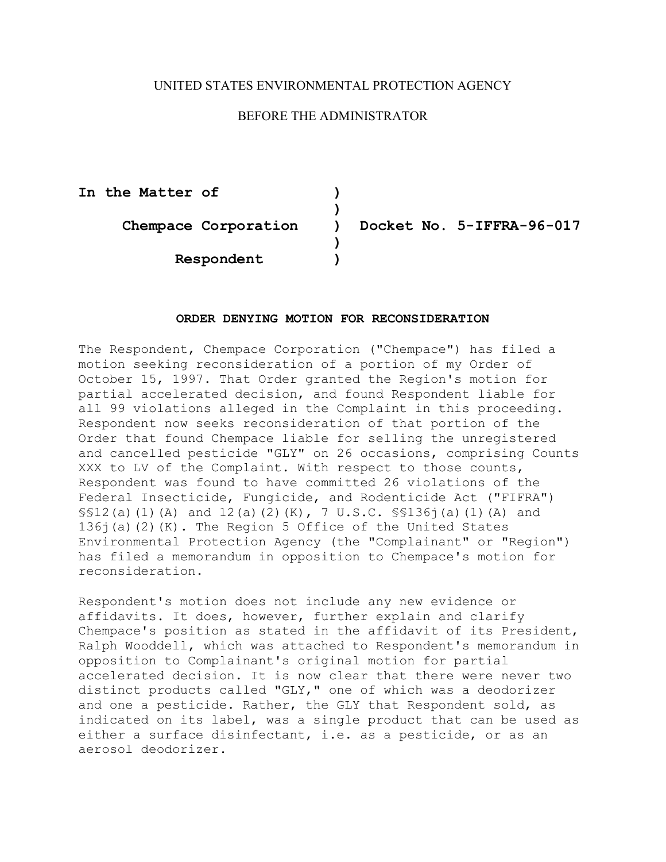## UNITED STATES ENVIRONMENTAL PROTECTION AGENCY

## BEFORE THE ADMINISTRATOR

**In the Matter of ) ) Chempace Corporation ) Docket No. 5-IFFRA-96-017 ) Respondent )** 

## **ORDER DENYING MOTION FOR RECONSIDERATION**

The Respondent, Chempace Corporation ("Chempace") has filed a motion seeking reconsideration of a portion of my Order of October 15, 1997. That Order granted the Region's motion for partial accelerated decision, and found Respondent liable for all 99 violations alleged in the Complaint in this proceeding. Respondent now seeks reconsideration of that portion of the Order that found Chempace liable for selling the unregistered and cancelled pesticide "GLY" on 26 occasions, comprising Counts XXX to LV of the Complaint. With respect to those counts, Respondent was found to have committed 26 violations of the Federal Insecticide, Fungicide, and Rodenticide Act ("FIFRA") §§12(a)(1)(A) and 12(a)(2)(K), 7 U.S.C. §§136j(a)(1)(A) and 136j(a)(2)(K). The Region 5 Office of the United States Environmental Protection Agency (the "Complainant" or "Region") has filed a memorandum in opposition to Chempace's motion for reconsideration.

Respondent's motion does not include any new evidence or affidavits. It does, however, further explain and clarify Chempace's position as stated in the affidavit of its President, Ralph Wooddell, which was attached to Respondent's memorandum in opposition to Complainant's original motion for partial accelerated decision. It is now clear that there were never two distinct products called "GLY," one of which was a deodorizer and one a pesticide. Rather, the GLY that Respondent sold, as indicated on its label, was a single product that can be used as either a surface disinfectant, i.e. as a pesticide, or as an aerosol deodorizer.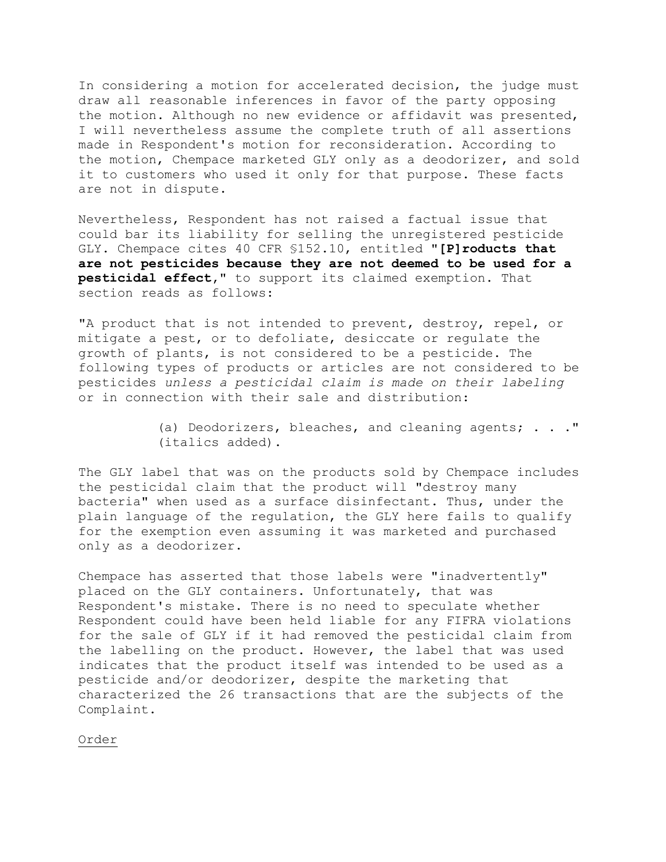In considering a motion for accelerated decision, the judge must draw all reasonable inferences in favor of the party opposing the motion. Although no new evidence or affidavit was presented, I will nevertheless assume the complete truth of all assertions made in Respondent's motion for reconsideration. According to the motion, Chempace marketed GLY only as a deodorizer, and sold it to customers who used it only for that purpose. These facts are not in dispute.

Nevertheless, Respondent has not raised a factual issue that could bar its liability for selling the unregistered pesticide GLY. Chempace cites 40 CFR §152.10, entitled **"[P]roducts that are not pesticides because they are not deemed to be used for a pesticidal effect,"** to support its claimed exemption. That section reads as follows:

"A product that is not intended to prevent, destroy, repel, or mitigate a pest, or to defoliate, desiccate or regulate the growth of plants, is not considered to be a pesticide. The following types of products or articles are not considered to be pesticides *unless a pesticidal claim is made on their labeling*  or in connection with their sale and distribution:

> (a) Deodorizers, bleaches, and cleaning agents; . . ." (italics added).

The GLY label that was on the products sold by Chempace includes the pesticidal claim that the product will "destroy many bacteria" when used as a surface disinfectant. Thus, under the plain language of the regulation, the GLY here fails to qualify for the exemption even assuming it was marketed and purchased only as a deodorizer.

Chempace has asserted that those labels were "inadvertently" placed on the GLY containers. Unfortunately, that was Respondent's mistake. There is no need to speculate whether Respondent could have been held liable for any FIFRA violations for the sale of GLY if it had removed the pesticidal claim from the labelling on the product. However, the label that was used indicates that the product itself was intended to be used as a pesticide and/or deodorizer, despite the marketing that characterized the 26 transactions that are the subjects of the Complaint.

Order